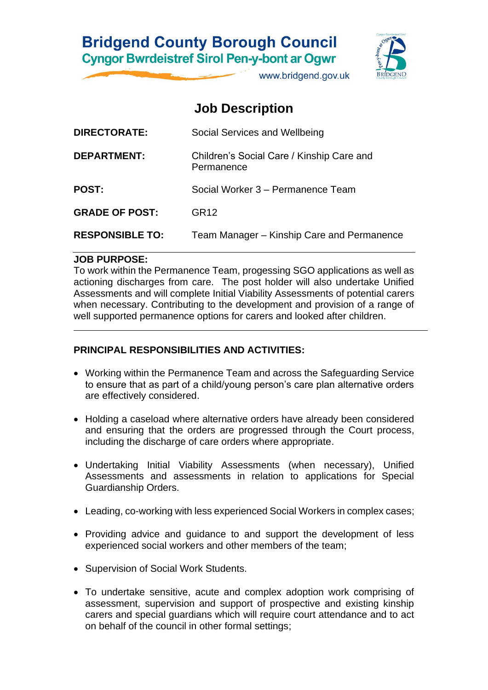

www.bridgend.gov.uk

## **Job Description**

| <b>DIRECTORATE:</b>    | Social Services and Wellbeing                           |
|------------------------|---------------------------------------------------------|
| DEPARTMENT:            | Children's Social Care / Kinship Care and<br>Permanence |
| <b>POST:</b>           | Social Worker 3 – Permanence Team                       |
| <b>GRADE OF POST:</b>  | GR <sub>12</sub>                                        |
| <b>RESPONSIBLE TO:</b> | Team Manager – Kinship Care and Permanence              |

#### **JOB PURPOSE:**

To work within the Permanence Team, progessing SGO applications as well as actioning discharges from care. The post holder will also undertake Unified Assessments and will complete Initial Viability Assessments of potential carers when necessary. Contributing to the development and provision of a range of well supported permanence options for carers and looked after children.

#### **PRINCIPAL RESPONSIBILITIES AND ACTIVITIES:**

- Working within the Permanence Team and across the Safeguarding Service to ensure that as part of a child/young person's care plan alternative orders are effectively considered.
- Holding a caseload where alternative orders have already been considered and ensuring that the orders are progressed through the Court process, including the discharge of care orders where appropriate.
- Undertaking Initial Viability Assessments (when necessary), Unified Assessments and assessments in relation to applications for Special Guardianship Orders.
- Leading, co-working with less experienced Social Workers in complex cases;
- Providing advice and guidance to and support the development of less experienced social workers and other members of the team;
- Supervision of Social Work Students.
- To undertake sensitive, acute and complex adoption work comprising of assessment, supervision and support of prospective and existing kinship carers and special guardians which will require court attendance and to act on behalf of the council in other formal settings;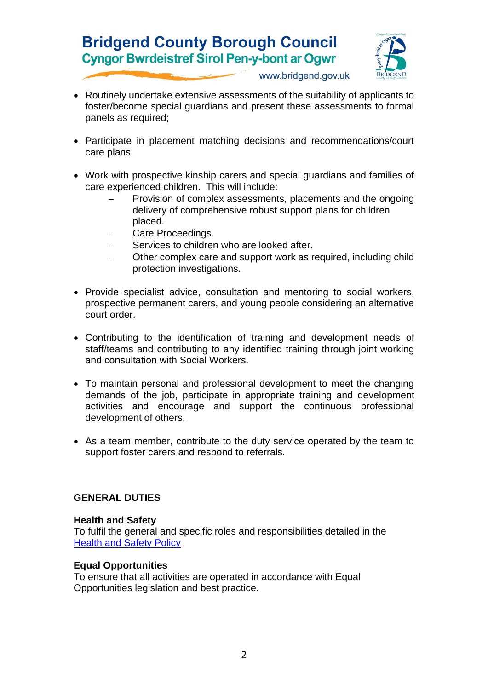

www.bridgend.gov.uk

- Routinely undertake extensive assessments of the suitability of applicants to foster/become special guardians and present these assessments to formal panels as required;
- Participate in placement matching decisions and recommendations/court care plans;
- Work with prospective kinship carers and special guardians and families of care experienced children. This will include:
	- Provision of complex assessments, placements and the ongoing delivery of comprehensive robust support plans for children placed.
	- Care Proceedings.
	- Services to children who are looked after.
	- Other complex care and support work as required, including child protection investigations.
- Provide specialist advice, consultation and mentoring to social workers, prospective permanent carers, and young people considering an alternative court order.
- Contributing to the identification of training and development needs of staff/teams and contributing to any identified training through joint working and consultation with Social Workers.
- To maintain personal and professional development to meet the changing demands of the job, participate in appropriate training and development activities and encourage and support the continuous professional development of others.
- As a team member, contribute to the duty service operated by the team to support foster carers and respond to referrals.

#### **GENERAL DUTIES**

#### **Health and Safety**

To fulfil the general and specific roles and responsibilities detailed in the **[Health and Safety Policy](http://www.bridgenders.net/healthandsafety/Documents/Corporate%20Health%20and%20Safety%20Policy%20June%202017.pdf)** 

#### **Equal Opportunities**

To ensure that all activities are operated in accordance with Equal Opportunities legislation and best practice.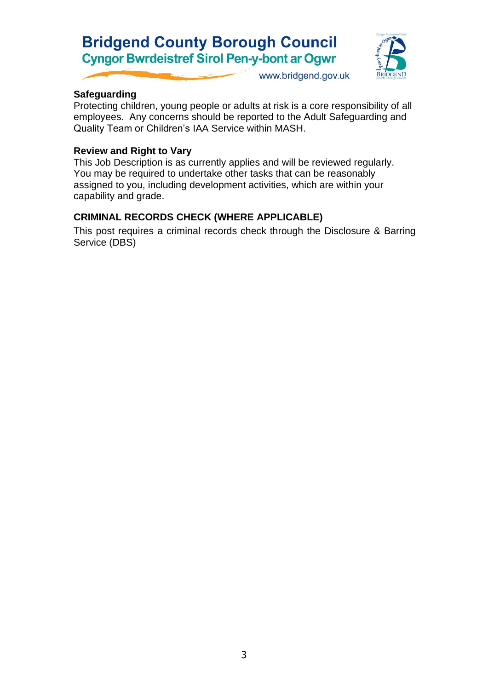

www.bridgend.gov.uk

## **Safeguarding**

Protecting children, young people or adults at risk is a core responsibility of all employees. Any concerns should be reported to the Adult Safeguarding and Quality Team or Children's IAA Service within MASH.

## **Review and Right to Vary**

This Job Description is as currently applies and will be reviewed regularly. You may be required to undertake other tasks that can be reasonably assigned to you, including development activities, which are within your capability and grade.

## **CRIMINAL RECORDS CHECK (WHERE APPLICABLE)**

This post requires a criminal records check through the Disclosure & Barring Service (DBS)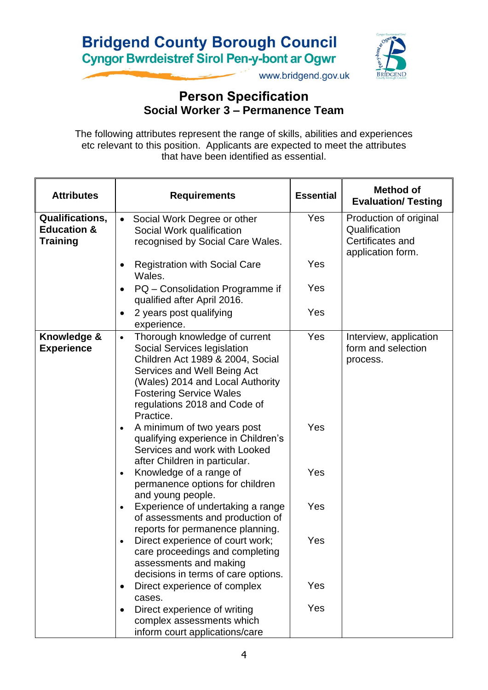

www.bridgend.gov.uk

## **Person Specification Social Worker 3 – Permanence Team**

The following attributes represent the range of skills, abilities and experiences etc relevant to this position. Applicants are expected to meet the attributes that have been identified as essential.

| <b>Attributes</b>                                            | <b>Requirements</b>                                                                                                                                                                                                                                             | <b>Essential</b> | <b>Method of</b><br><b>Evaluation/ Testing</b>                                   |
|--------------------------------------------------------------|-----------------------------------------------------------------------------------------------------------------------------------------------------------------------------------------------------------------------------------------------------------------|------------------|----------------------------------------------------------------------------------|
| Qualifications,<br><b>Education &amp;</b><br><b>Training</b> | Social Work Degree or other<br>$\bullet$<br>Social Work qualification<br>recognised by Social Care Wales.                                                                                                                                                       | Yes              | Production of original<br>Qualification<br>Certificates and<br>application form. |
|                                                              | <b>Registration with Social Care</b><br>$\bullet$<br>Wales.                                                                                                                                                                                                     | Yes              |                                                                                  |
|                                                              | PQ - Consolidation Programme if<br>$\bullet$<br>qualified after April 2016.                                                                                                                                                                                     | Yes              |                                                                                  |
|                                                              | 2 years post qualifying<br>$\bullet$<br>experience.                                                                                                                                                                                                             | Yes              |                                                                                  |
| Knowledge &<br><b>Experience</b>                             | Thorough knowledge of current<br>$\bullet$<br>Social Services legislation<br>Children Act 1989 & 2004, Social<br>Services and Well Being Act<br>(Wales) 2014 and Local Authority<br><b>Fostering Service Wales</b><br>regulations 2018 and Code of<br>Practice. | Yes              | Interview, application<br>form and selection<br>process.                         |
|                                                              | A minimum of two years post<br>$\bullet$<br>qualifying experience in Children's<br>Services and work with Looked<br>after Children in particular.                                                                                                               | Yes              |                                                                                  |
|                                                              | Knowledge of a range of<br>$\bullet$<br>permanence options for children<br>and young people.                                                                                                                                                                    | Yes              |                                                                                  |
|                                                              | Experience of undertaking a range<br>$\bullet$<br>of assessments and production of<br>reports for permanence planning.                                                                                                                                          | Yes              |                                                                                  |
|                                                              | Direct experience of court work;<br>$\bullet$<br>care proceedings and completing<br>assessments and making<br>decisions in terms of care options.                                                                                                               | Yes              |                                                                                  |
|                                                              | Direct experience of complex<br>cases.                                                                                                                                                                                                                          | Yes              |                                                                                  |
|                                                              | Direct experience of writing<br>$\bullet$<br>complex assessments which<br>inform court applications/care                                                                                                                                                        | Yes              |                                                                                  |